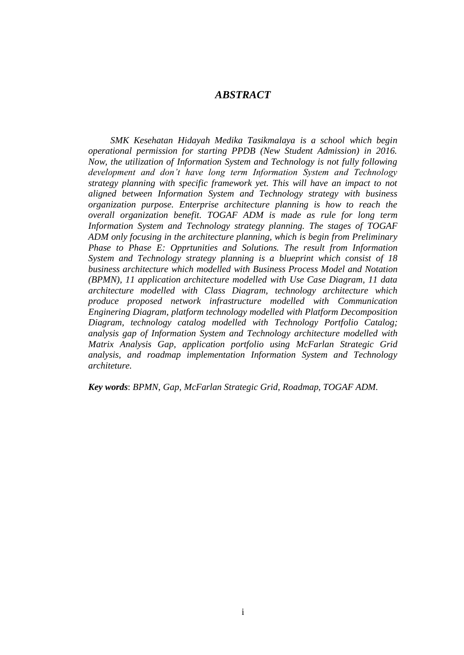## *ABSTRACT*

*SMK Kesehatan Hidayah Medika Tasikmalaya is a school which begin operational permission for starting PPDB (New Student Admission) in 2016. Now, the utilization of Information System and Technology is not fully following development and don't have long term Information System and Technology strategy planning with specific framework yet. This will have an impact to not aligned between Information System and Technology strategy with business organization purpose. Enterprise architecture planning is how to reach the overall organization benefit. TOGAF ADM is made as rule for long term Information System and Technology strategy planning. The stages of TOGAF ADM only focusing in the architecture planning, which is begin from Preliminary Phase to Phase E: Opprtunities and Solutions. The result from Information System and Technology strategy planning is a blueprint which consist of 18 business architecture which modelled with Business Process Model and Notation (BPMN), 11 application architecture modelled with Use Case Diagram, 11 data architecture modelled with Class Diagram, technology architecture which produce proposed network infrastructure modelled with Communication Enginering Diagram, platform technology modelled with Platform Decomposition Diagram, technology catalog modelled with Technology Portfolio Catalog; analysis gap of Information System and Technology architecture modelled with Matrix Analysis Gap, application portfolio using McFarlan Strategic Grid analysis, and roadmap implementation Information System and Technology architeture.*

*Key words*: *BPMN*, *Gap, McFarlan Strategic Grid, Roadmap, TOGAF ADM.*